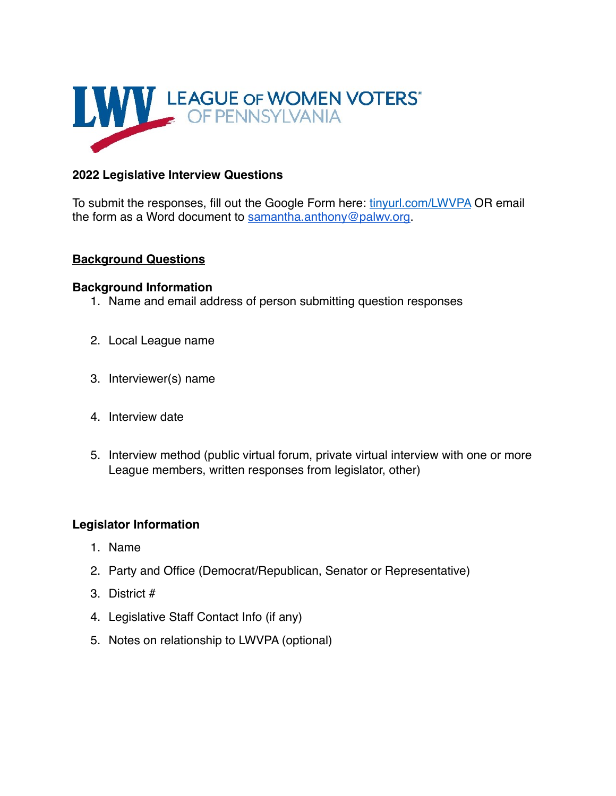

# **2022 Legislative Interview Questions**

To submit the responses, fill out the Google Form here: [tinyurl.com/LWVPA](https://tinyurl.com/LWVPA%2520) OR email the form as a Word document to [samantha.anthony@palwv.org.](mailto:samantha.anthony@palwv.org)

## **Background Questions**

#### **Background Information**

- 1. Name and email address of person submitting question responses
- 2. Local League name
- 3. Interviewer(s) name
- 4. Interview date
- 5. Interview method (public virtual forum, private virtual interview with one or more League members, written responses from legislator, other)

## **Legislator Information**

- 1. Name
- 2. Party and Office (Democrat/Republican, Senator or Representative)
- 3. District #
- 4. Legislative Staff Contact Info (if any)
- 5. Notes on relationship to LWVPA (optional)